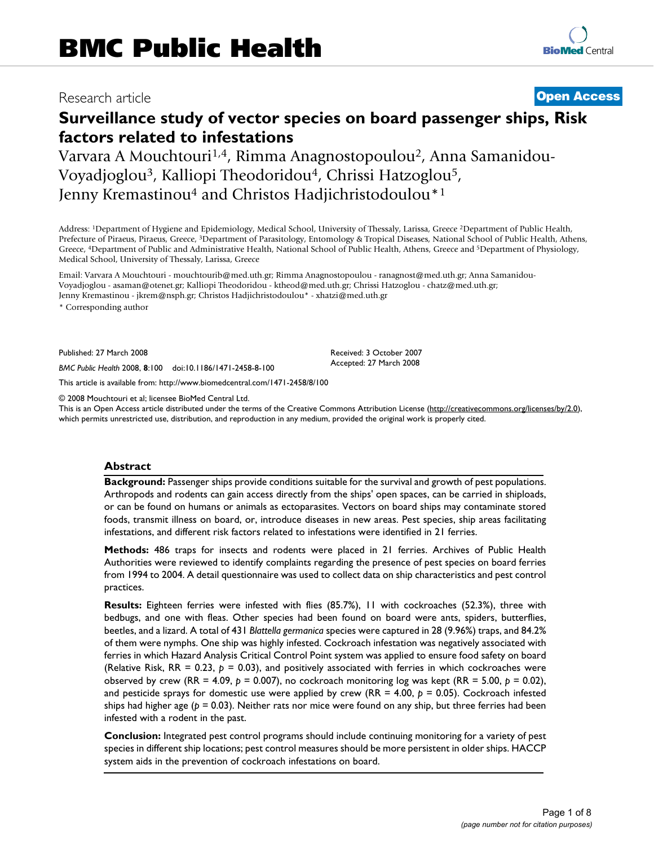# Research article **[Open Access](http://www.biomedcentral.com/info/about/charter/)**

# **Surveillance study of vector species on board passenger ships, Risk factors related to infestations**

Varvara A Mouchtouri1,4, Rimma Anagnostopoulou2, Anna Samanidou-Voyadjoglou3, Kalliopi Theodoridou4, Chrissi Hatzoglou5, Jenny Kremastinou<sup>4</sup> and Christos Hadjichristodoulou<sup>\*1</sup>

Address: 1Department of Hygiene and Epidemiology, Medical School, University of Thessaly, Larissa, Greece 2Department of Public Health, Prefecture of Piraeus, Piraeus, Greece, 3Department of Parasitology, Entomology & Tropical Diseases, National School of Public Health, Athens, Greece, 4Department of Public and Administrative Health, National School of Public Health, Athens, Greece and 5Department of Physiology, Medical School, University of Thessaly, Larissa, Greece

Email: Varvara A Mouchtouri - mouchtourib@med.uth.gr; Rimma Anagnostopoulou - ranagnost@med.uth.gr; Anna Samanidou-Voyadjoglou - asaman@otenet.gr; Kalliopi Theodoridou - ktheod@med.uth.gr; Chrissi Hatzoglou - chatz@med.uth.gr; Jenny Kremastinou - jkrem@nsph.gr; Christos Hadjichristodoulou\* - xhatzi@med.uth.gr

\* Corresponding author

Published: 27 March 2008

*BMC Public Health* 2008, **8**:100 doi:10.1186/1471-2458-8-100

[This article is available from: http://www.biomedcentral.com/1471-2458/8/100](http://www.biomedcentral.com/1471-2458/8/100)

© 2008 Mouchtouri et al; licensee BioMed Central Ltd.

This is an Open Access article distributed under the terms of the Creative Commons Attribution License [\(http://creativecommons.org/licenses/by/2.0\)](http://creativecommons.org/licenses/by/2.0), which permits unrestricted use, distribution, and reproduction in any medium, provided the original work is properly cited.

Received: 3 October 2007 Accepted: 27 March 2008

#### **Abstract**

**Background:** Passenger ships provide conditions suitable for the survival and growth of pest populations. Arthropods and rodents can gain access directly from the ships' open spaces, can be carried in shiploads, or can be found on humans or animals as ectoparasites. Vectors on board ships may contaminate stored foods, transmit illness on board, or, introduce diseases in new areas. Pest species, ship areas facilitating infestations, and different risk factors related to infestations were identified in 21 ferries.

**Methods:** 486 traps for insects and rodents were placed in 21 ferries. Archives of Public Health Authorities were reviewed to identify complaints regarding the presence of pest species on board ferries from 1994 to 2004. A detail questionnaire was used to collect data on ship characteristics and pest control practices.

**Results:** Eighteen ferries were infested with flies (85.7%), 11 with cockroaches (52.3%), three with bedbugs, and one with fleas. Other species had been found on board were ants, spiders, butterflies, beetles, and a lizard. A total of 431 *Blattella germanica* species were captured in 28 (9.96%) traps, and 84.2% of them were nymphs. One ship was highly infested. Cockroach infestation was negatively associated with ferries in which Hazard Analysis Critical Control Point system was applied to ensure food safety on board (Relative Risk,  $RR = 0.23$ ,  $p = 0.03$ ), and positively associated with ferries in which cockroaches were observed by crew (RR = 4.09,  $p = 0.007$ ), no cockroach monitoring log was kept (RR = 5.00,  $p = 0.02$ ), and pesticide sprays for domestic use were applied by crew  $(RR = 4.00, p = 0.05)$ . Cockroach infested ships had higher age (*p* = 0.03). Neither rats nor mice were found on any ship, but three ferries had been infested with a rodent in the past.

**Conclusion:** Integrated pest control programs should include continuing monitoring for a variety of pest species in different ship locations; pest control measures should be more persistent in older ships. HACCP system aids in the prevention of cockroach infestations on board.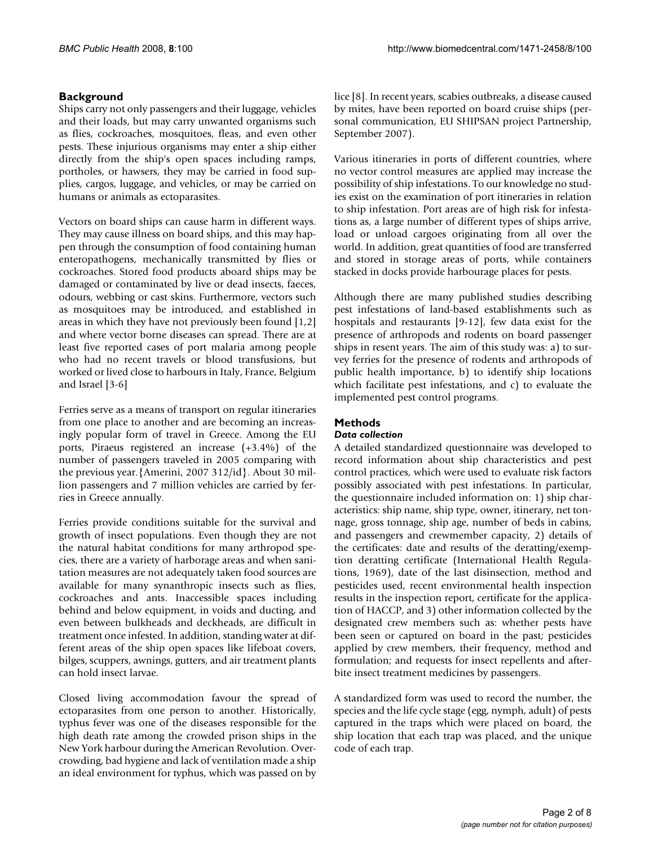# **Background**

Ships carry not only passengers and their luggage, vehicles and their loads, but may carry unwanted organisms such as flies, cockroaches, mosquitoes, fleas, and even other pests. These injurious organisms may enter a ship either directly from the ship's open spaces including ramps, portholes, or hawsers, they may be carried in food supplies, cargos, luggage, and vehicles, or may be carried on humans or animals as ectoparasites.

Vectors on board ships can cause harm in different ways. They may cause illness on board ships, and this may happen through the consumption of food containing human enteropathogens, mechanically transmitted by flies or cockroaches. Stored food products aboard ships may be damaged or contaminated by live or dead insects, faeces, odours, webbing or cast skins. Furthermore, vectors such as mosquitoes may be introduced, and established in areas in which they have not previously been found [1,2] and where vector borne diseases can spread. There are at least five reported cases of port malaria among people who had no recent travels or blood transfusions, but worked or lived close to harbours in Italy, France, Belgium and Israel [3-6]

Ferries serve as a means of transport on regular itineraries from one place to another and are becoming an increasingly popular form of travel in Greece. Among the EU ports, Piraeus registered an increase (+3.4%) of the number of passengers traveled in 2005 comparing with the previous year.{Amerini, 2007 312/id}. About 30 million passengers and 7 million vehicles are carried by ferries in Greece annually.

Ferries provide conditions suitable for the survival and growth of insect populations. Even though they are not the natural habitat conditions for many arthropod species, there are a variety of harborage areas and when sanitation measures are not adequately taken food sources are available for many synanthropic insects such as flies, cockroaches and ants. Inaccessible spaces including behind and below equipment, in voids and ducting, and even between bulkheads and deckheads, are difficult in treatment once infested. In addition, standing water at different areas of the ship open spaces like lifeboat covers, bilges, scuppers, awnings, gutters, and air treatment plants can hold insect larvae.

Closed living accommodation favour the spread of ectoparasites from one person to another. Historically, typhus fever was one of the diseases responsible for the high death rate among the crowded prison ships in the New York harbour during the American Revolution. Overcrowding, bad hygiene and lack of ventilation made a ship an ideal environment for typhus, which was passed on by lice [8]. In recent years, scabies outbreaks, a disease caused by mites, have been reported on board cruise ships (personal communication, EU SHIPSAN project Partnership, September 2007).

Various itineraries in ports of different countries, where no vector control measures are applied may increase the possibility of ship infestations. To our knowledge no studies exist on the examination of port itineraries in relation to ship infestation. Port areas are of high risk for infestations as, a large number of different types of ships arrive, load or unload cargoes originating from all over the world. In addition, great quantities of food are transferred and stored in storage areas of ports, while containers stacked in docks provide harbourage places for pests.

Although there are many published studies describing pest infestations of land-based establishments such as hospitals and restaurants [9-12], few data exist for the presence of arthropods and rodents on board passenger ships in resent years. The aim of this study was: a) to survey ferries for the presence of rodents and arthropods of public health importance, b) to identify ship locations which facilitate pest infestations, and c) to evaluate the implemented pest control programs.

#### **Methods** *Data collection*

A detailed standardized questionnaire was developed to record information about ship characteristics and pest control practices, which were used to evaluate risk factors possibly associated with pest infestations. In particular, the questionnaire included information on: 1) ship characteristics: ship name, ship type, owner, itinerary, net tonnage, gross tonnage, ship age, number of beds in cabins, and passengers and crewmember capacity, 2) details of the certificates: date and results of the deratting/exemption deratting certificate (International Health Regulations, 1969), date of the last disinsection, method and pesticides used, recent environmental health inspection results in the inspection report, certificate for the application of HACCP, and 3) other information collected by the designated crew members such as: whether pests have been seen or captured on board in the past; pesticides applied by crew members, their frequency, method and formulation; and requests for insect repellents and afterbite insect treatment medicines by passengers.

A standardized form was used to record the number, the species and the life cycle stage (egg, nymph, adult) of pests captured in the traps which were placed on board, the ship location that each trap was placed, and the unique code of each trap.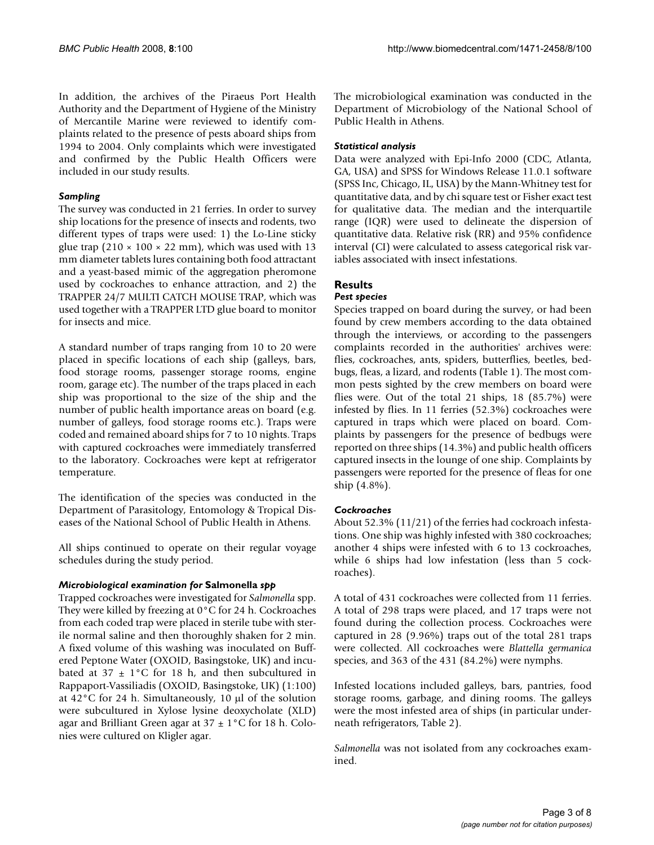In addition, the archives of the Piraeus Port Health Authority and the Department of Hygiene of the Ministry of Mercantile Marine were reviewed to identify complaints related to the presence of pests aboard ships from 1994 to 2004. Only complaints which were investigated and confirmed by the Public Health Officers were included in our study results.

# *Sampling*

The survey was conducted in 21 ferries. In order to survey ship locations for the presence of insects and rodents, two different types of traps were used: 1) the Lo-Line sticky glue trap ( $210 \times 100 \times 22$  mm), which was used with 13 mm diameter tablets lures containing both food attractant and a yeast-based mimic of the aggregation pheromone used by cockroaches to enhance attraction, and 2) the TRAPPER 24/7 MULTI CATCH MOUSE TRAP, which was used together with a TRAPPER LTD glue board to monitor for insects and mice.

A standard number of traps ranging from 10 to 20 were placed in specific locations of each ship (galleys, bars, food storage rooms, passenger storage rooms, engine room, garage etc). The number of the traps placed in each ship was proportional to the size of the ship and the number of public health importance areas on board (e.g. number of galleys, food storage rooms etc.). Traps were coded and remained aboard ships for 7 to 10 nights. Traps with captured cockroaches were immediately transferred to the laboratory. Cockroaches were kept at refrigerator temperature.

The identification of the species was conducted in the Department of Parasitology, Entomology & Tropical Diseases of the National School of Public Health in Athens.

All ships continued to operate on their regular voyage schedules during the study period.

# *Microbiological examination for* **Salmonella** *spp*

Trapped cockroaches were investigated for *Salmonella* spp. They were killed by freezing at 0°C for 24 h. Cockroaches from each coded trap were placed in sterile tube with sterile normal saline and then thoroughly shaken for 2 min. A fixed volume of this washing was inoculated on Buffered Peptone Water (OXOID, Basingstoke, UK) and incubated at  $37 \pm 1$ °C for 18 h, and then subcultured in Rappaport-Vassiliadis (OXOID, Basingstoke, UK) (1:100) at  $42^{\circ}$ C for 24 h. Simultaneously, 10  $\mu$ l of the solution were subcultured in Xylose lysine deoxycholate (XLD) agar and Brilliant Green agar at  $37 \pm 1^{\circ}$ C for 18 h. Colonies were cultured on Kligler agar.

The microbiological examination was conducted in the Department of Microbiology of the National School of Public Health in Athens.

# *Statistical analysis*

Data were analyzed with Epi-Info 2000 (CDC, Atlanta, GA, USA) and SPSS for Windows Release 11.0.1 software (SPSS Inc, Chicago, IL, USA) by the Mann-Whitney test for quantitative data, and by chi square test or Fisher exact test for qualitative data. The median and the interquartile range (IQR) were used to delineate the dispersion of quantitative data. Relative risk (RR) and 95% confidence interval (CI) were calculated to assess categorical risk variables associated with insect infestations.

# **Results**

# *Pest species*

Species trapped on board during the survey, or had been found by crew members according to the data obtained through the interviews, or according to the passengers complaints recorded in the authorities' archives were: flies, cockroaches, ants, spiders, butterflies, beetles, bedbugs, fleas, a lizard, and rodents (Table 1). The most common pests sighted by the crew members on board were flies were. Out of the total 21 ships, 18 (85.7%) were infested by flies. In 11 ferries (52.3%) cockroaches were captured in traps which were placed on board. Complaints by passengers for the presence of bedbugs were reported on three ships (14.3%) and public health officers captured insects in the lounge of one ship. Complaints by passengers were reported for the presence of fleas for one ship (4.8%).

# *Cockroaches*

About 52.3% (11/21) of the ferries had cockroach infestations. One ship was highly infested with 380 cockroaches; another 4 ships were infested with 6 to 13 cockroaches, while 6 ships had low infestation (less than 5 cockroaches).

A total of 431 cockroaches were collected from 11 ferries. A total of 298 traps were placed, and 17 traps were not found during the collection process. Cockroaches were captured in 28 (9.96%) traps out of the total 281 traps were collected. All cockroaches were *Blattella germanica* species, and 363 of the 431 (84.2%) were nymphs.

Infested locations included galleys, bars, pantries, food storage rooms, garbage, and dining rooms. The galleys were the most infested area of ships (in particular underneath refrigerators, Table 2).

*Salmonella* was not isolated from any cockroaches examined.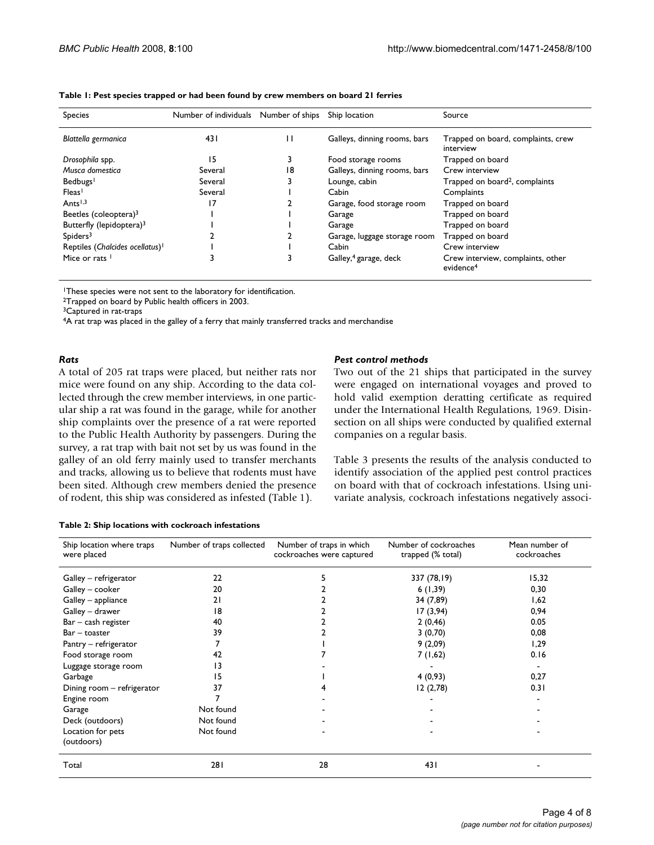| <b>Species</b>                              | Number of individuals Number of ships |    | Ship location                     | Source                                                     |
|---------------------------------------------|---------------------------------------|----|-----------------------------------|------------------------------------------------------------|
| Blattella germanica                         | 43 I                                  | н  | Galleys, dinning rooms, bars      | Trapped on board, complaints, crew<br>interview            |
| Drosophila spp.                             | 15                                    |    | Food storage rooms                | Trapped on board                                           |
| Musca domestica                             | Several                               | 18 | Galleys, dinning rooms, bars      | Crew interview                                             |
| Bedbugs <sup>1</sup>                        | Several                               |    | Lounge, cabin                     | Trapped on board <sup>2</sup> , complaints                 |
| Fleas                                       | Several                               |    | Cabin                             | Complaints                                                 |
| Ants <sup>1,3</sup>                         | 17                                    |    | Garage, food storage room         | Trapped on board                                           |
| Beetles (coleoptera) <sup>3</sup>           |                                       |    | Garage                            | Trapped on board                                           |
| Butterfly (lepidoptera) <sup>3</sup>        |                                       |    | Garage                            | Trapped on board                                           |
| Spiders <sup>3</sup>                        |                                       |    | Garage, luggage storage room      | Trapped on board                                           |
| Reptiles (Chalcides ocellatus) <sup>1</sup> |                                       |    | Cabin                             | Crew interview                                             |
| Mice or rats 1                              |                                       |    | Galley, <sup>4</sup> garage, deck | Crew interview, complaints, other<br>evidence <sup>4</sup> |

1These species were not sent to the laboratory for identification.

<sup>2</sup>Trapped on board by Public health officers in 2003.

3Captured in rat-traps

<sup>4</sup>A rat trap was placed in the galley of a ferry that mainly transferred tracks and merchandise

#### *Rats*

A total of 205 rat traps were placed, but neither rats nor mice were found on any ship. According to the data collected through the crew member interviews, in one particular ship a rat was found in the garage, while for another ship complaints over the presence of a rat were reported to the Public Health Authority by passengers. During the survey, a rat trap with bait not set by us was found in the galley of an old ferry mainly used to transfer merchants and tracks, allowing us to believe that rodents must have been sited. Although crew members denied the presence of rodent, this ship was considered as infested (Table 1).

#### *Pest control methods*

Two out of the 21 ships that participated in the survey were engaged on international voyages and proved to hold valid exemption deratting certificate as required under the International Health Regulations, 1969. Disinsection on all ships were conducted by qualified external companies on a regular basis.

Table 3 presents the results of the analysis conducted to identify association of the applied pest control practices on board with that of cockroach infestations. Using univariate analysis, cockroach infestations negatively associ-

| Ship location where traps<br>were placed | Number of traps collected | Number of traps in which<br>cockroaches were captured | Number of cockroaches<br>trapped (% total) | Mean number of<br>cockroaches |
|------------------------------------------|---------------------------|-------------------------------------------------------|--------------------------------------------|-------------------------------|
| Galley - refrigerator                    | 22                        | 5                                                     | 337 (78,19)                                | 15,32                         |
| Galley – cooker                          | 20                        | 2                                                     | 6(1,39)                                    | 0,30                          |
| Galley - appliance                       | 21                        |                                                       | 34 (7,89)                                  | 1,62                          |
| Galley - drawer                          | 18                        |                                                       | 17(3,94)                                   | 0,94                          |
| Bar - cash register                      | 40                        | 2                                                     | 2(0, 46)                                   | 0.05                          |
| Bar - toaster                            | 39                        |                                                       | 3(0,70)                                    | 0,08                          |
| Pantry - refrigerator                    |                           |                                                       | 9(2,09)                                    | 1,29                          |
| Food storage room                        | 42                        |                                                       | 7(1,62)                                    | 0.16                          |
| Luggage storage room                     | 13                        |                                                       |                                            |                               |
| Garbage                                  | 15                        |                                                       | 4(0,93)                                    | 0,27                          |
| Dining room - refrigerator               | 37                        |                                                       | 12(2,78)                                   | 0.31                          |
| Engine room                              |                           |                                                       |                                            |                               |
| Garage                                   | Not found                 |                                                       |                                            |                               |
| Deck (outdoors)                          | Not found                 |                                                       |                                            |                               |
| Location for pets<br>(outdoors)          | Not found                 |                                                       |                                            |                               |
| Total                                    | 281                       | 28                                                    | 431                                        |                               |

#### **Table 2: Ship locations with cockroach infestations**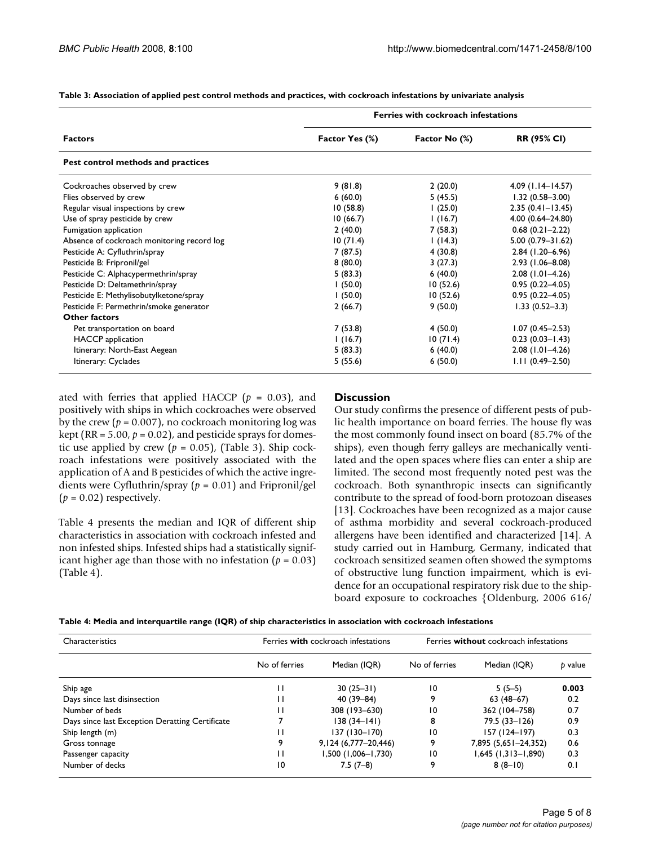|                                            | <b>Ferries with cockroach infestations</b> |               |                      |  |
|--------------------------------------------|--------------------------------------------|---------------|----------------------|--|
| <b>Factors</b>                             | Factor Yes (%)                             | Factor No (%) | <b>RR (95% CI)</b>   |  |
| Pest control methods and practices         |                                            |               |                      |  |
| Cockroaches observed by crew               | 9(81.8)                                    | 2(20.0)       | $4.09$ (1.14–14.57)  |  |
| Flies observed by crew                     | 6(60.0)                                    | 5(45.5)       | $1.32(0.58 - 3.00)$  |  |
| Regular visual inspections by crew         | 10(58.8)                                   | (25.0)        | $2.35(0.41 - 13.45)$ |  |
| Use of spray pesticide by crew             | 10(66.7)                                   | 1(16.7)       | $4.00(0.64 - 24.80)$ |  |
| Fumigation application                     | 2(40.0)                                    | 7(58.3)       | $0.68(0.21 - 2.22)$  |  |
| Absence of cockroach monitoring record log | 10(71.4)                                   | 1(14.3)       | 5.00 (0.79-31.62)    |  |
| Pesticide A: Cyfluthrin/spray              | 7(87.5)                                    | 4(30.8)       | $2.84(1.20 - 6.96)$  |  |
| Pesticide B: Fripronil/gel                 | 8(80.0)                                    | 3(27.3)       | 2.93 (1.06-8.08)     |  |
| Pesticide C: Alphacypermethrin/spray       | 5(83.3)                                    | 6(40.0)       | $2.08$ (1.01-4.26)   |  |
| Pesticide D: Deltamethrin/spray            | (50.0)                                     | 10(52.6)      | $0.95(0.22 - 4.05)$  |  |
| Pesticide E: Methylisobutylketone/spray    | (50.0)                                     | 10(52.6)      | $0.95(0.22 - 4.05)$  |  |
| Pesticide F: Permethrin/smoke generator    | 2(66.7)                                    | 9(50.0)       | $1.33(0.52 - 3.3)$   |  |
| <b>Other factors</b>                       |                                            |               |                      |  |
| Pet transportation on board                | 7(53.8)                                    | 4(50.0)       | $1.07(0.45 - 2.53)$  |  |
| <b>HACCP</b> application                   | 1(16.7)                                    | 10(71.4)      | $0.23(0.03 - 1.43)$  |  |
| Itinerary: North-East Aegean               | 5(83.3)                                    | 6(40.0)       | $2.08$ (1.01-4.26)   |  |
| Itinerary: Cyclades                        | 5(55.6)                                    | 6(50.0)       | $1.11(0.49 - 2.50)$  |  |

**Table 3: Association of applied pest control methods and practices, with cockroach infestations by univariate analysis**

ated with ferries that applied HACCP  $(p = 0.03)$ , and positively with ships in which cockroaches were observed by the crew ( $p = 0.007$ ), no cockroach monitoring  $\log$  was kept ( $RR = 5.00$ ,  $p = 0.02$ ), and pesticide sprays for domestic use applied by crew  $(p = 0.05)$ , (Table 3). Ship cockroach infestations were positively associated with the application of A and B pesticides of which the active ingredients were Cyfluthrin/spray (*p* = 0.01) and Fripronil/gel  $(p = 0.02)$  respectively.

Table 4 presents the median and IQR of different ship characteristics in association with cockroach infested and non infested ships. Infested ships had a statistically significant higher age than those with no infestation ( $p = 0.03$ ) (Table 4).

### **Discussion**

Our study confirms the presence of different pests of public health importance on board ferries. The house fly was the most commonly found insect on board (85.7% of the ships), even though ferry galleys are mechanically ventilated and the open spaces where flies can enter a ship are limited. The second most frequently noted pest was the cockroach. Both synanthropic insects can significantly contribute to the spread of food-born protozoan diseases [13]. Cockroaches have been recognized as a major cause of asthma morbidity and several cockroach-produced allergens have been identified and characterized [14]. A study carried out in Hamburg, Germany, indicated that cockroach sensitized seamen often showed the symptoms of obstructive lung function impairment, which is evidence for an occupational respiratory risk due to the shipboard exposure to cockroaches {Oldenburg, 2006 616/

| Characteristics                                 | Ferries with cockroach infestations |                           | Ferries without cockroach infestations |                       |         |
|-------------------------------------------------|-------------------------------------|---------------------------|----------------------------------------|-----------------------|---------|
|                                                 | No of ferries                       | Median (IQR)              | No of ferries                          | Median (IQR)          | b value |
| Ship age                                        | П                                   | $30(25-31)$               | 10                                     | $5(5-5)$              | 0.003   |
| Days since last disinsection                    |                                     | $40(39 - 84)$             | 9                                      | $63(48-67)$           | 0.2     |
| Number of beds                                  | Н                                   | 308 (193-630)             | 10                                     | 362 (104-758)         | 0.7     |
| Days since last Exception Deratting Certificate |                                     | $138(34-141)$             | 8                                      | 79.5 (33-126)         | 0.9     |
| Ship length (m)                                 | Н                                   | 137 (130-170)             | 10                                     | $157(124-197)$        | 0.3     |
| Gross tonnage                                   | 9                                   | 9, 124 (6, 777 - 20, 446) | 9                                      | 7,895 (5,651-24,352)  | 0.6     |
| Passenger capacity                              | Н                                   | 1,500 (1,006-1,730)       | 10                                     | $1,645$ (1,313-1,890) | 0.3     |
| Number of decks                                 | 10                                  | $7.5(7-8)$                | 9                                      | $8(8-10)$             | 0.1     |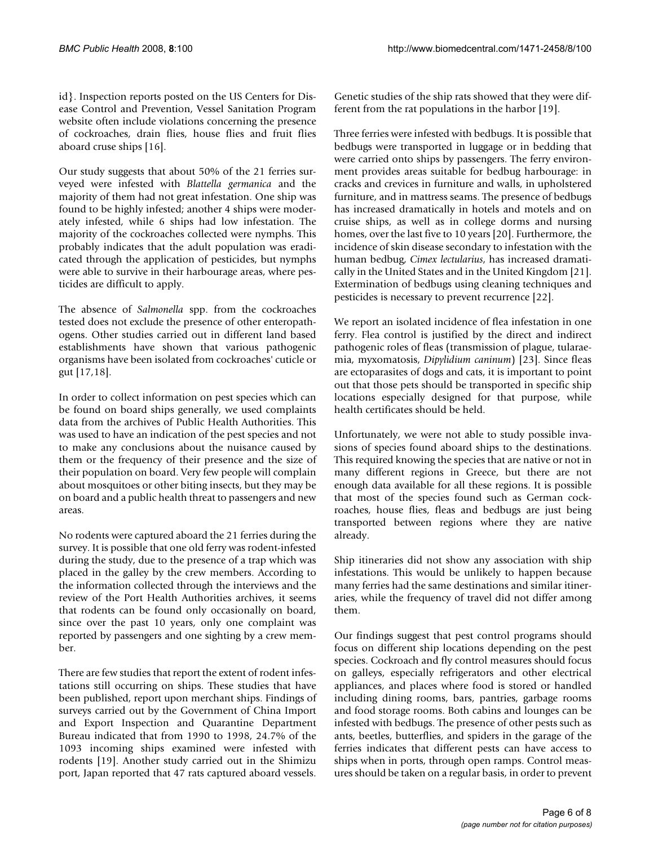id}. Inspection reports posted on the US Centers for Disease Control and Prevention, Vessel Sanitation Program website often include violations concerning the presence of cockroaches, drain flies, house flies and fruit flies aboard cruse ships [16].

Our study suggests that about 50% of the 21 ferries surveyed were infested with *Blattella germanica* and the majority of them had not great infestation. One ship was found to be highly infested; another 4 ships were moderately infested, while 6 ships had low infestation. The majority of the cockroaches collected were nymphs. This probably indicates that the adult population was eradicated through the application of pesticides, but nymphs were able to survive in their harbourage areas, where pesticides are difficult to apply.

The absence of *Salmonella* spp. from the cockroaches tested does not exclude the presence of other enteropathogens. Other studies carried out in different land based establishments have shown that various pathogenic organisms have been isolated from cockroaches' cuticle or gut [17,18].

In order to collect information on pest species which can be found on board ships generally, we used complaints data from the archives of Public Health Authorities. This was used to have an indication of the pest species and not to make any conclusions about the nuisance caused by them or the frequency of their presence and the size of their population on board. Very few people will complain about mosquitoes or other biting insects, but they may be on board and a public health threat to passengers and new areas.

No rodents were captured aboard the 21 ferries during the survey. It is possible that one old ferry was rodent-infested during the study, due to the presence of a trap which was placed in the galley by the crew members. According to the information collected through the interviews and the review of the Port Health Authorities archives, it seems that rodents can be found only occasionally on board, since over the past 10 years, only one complaint was reported by passengers and one sighting by a crew member.

There are few studies that report the extent of rodent infestations still occurring on ships. These studies that have been published, report upon merchant ships. Findings of surveys carried out by the Government of China Import and Export Inspection and Quarantine Department Bureau indicated that from 1990 to 1998, 24.7% of the 1093 incoming ships examined were infested with rodents [19]. Another study carried out in the Shimizu port, Japan reported that 47 rats captured aboard vessels.

Genetic studies of the ship rats showed that they were different from the rat populations in the harbor [19].

Three ferries were infested with bedbugs. It is possible that bedbugs were transported in luggage or in bedding that were carried onto ships by passengers. The ferry environment provides areas suitable for bedbug harbourage: in cracks and crevices in furniture and walls, in upholstered furniture, and in mattress seams. The presence of bedbugs has increased dramatically in hotels and motels and on cruise ships, as well as in college dorms and nursing homes, over the last five to 10 years [20]. Furthermore, the incidence of skin disease secondary to infestation with the human bedbug, *Cimex lectularius*, has increased dramatically in the United States and in the United Kingdom [21]. Extermination of bedbugs using cleaning techniques and pesticides is necessary to prevent recurrence [22].

We report an isolated incidence of flea infestation in one ferry. Flea control is justified by the direct and indirect pathogenic roles of fleas (transmission of plague, tularaemia, myxomatosis, *Dipylidium caninum*) [23]. Since fleas are ectoparasites of dogs and cats, it is important to point out that those pets should be transported in specific ship locations especially designed for that purpose, while health certificates should be held.

Unfortunately, we were not able to study possible invasions of species found aboard ships to the destinations. This required knowing the species that are native or not in many different regions in Greece, but there are not enough data available for all these regions. It is possible that most of the species found such as German cockroaches, house flies, fleas and bedbugs are just being transported between regions where they are native already.

Ship itineraries did not show any association with ship infestations. This would be unlikely to happen because many ferries had the same destinations and similar itineraries, while the frequency of travel did not differ among them.

Our findings suggest that pest control programs should focus on different ship locations depending on the pest species. Cockroach and fly control measures should focus on galleys, especially refrigerators and other electrical appliances, and places where food is stored or handled including dining rooms, bars, pantries, garbage rooms and food storage rooms. Both cabins and lounges can be infested with bedbugs. The presence of other pests such as ants, beetles, butterflies, and spiders in the garage of the ferries indicates that different pests can have access to ships when in ports, through open ramps. Control measures should be taken on a regular basis, in order to prevent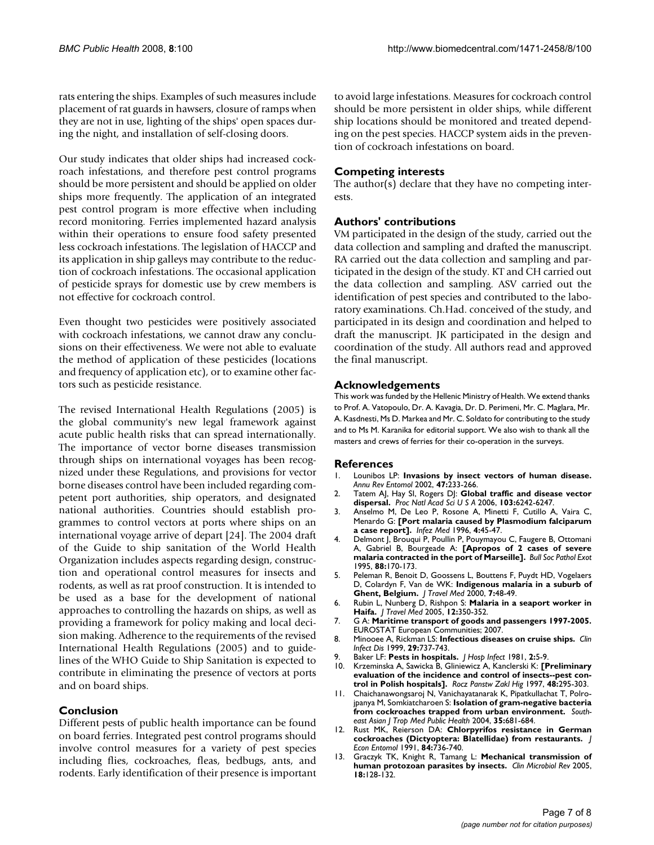rats entering the ships. Examples of such measures include placement of rat guards in hawsers, closure of ramps when they are not in use, lighting of the ships' open spaces during the night, and installation of self-closing doors.

Our study indicates that older ships had increased cockroach infestations, and therefore pest control programs should be more persistent and should be applied on older ships more frequently. The application of an integrated pest control program is more effective when including record monitoring. Ferries implemented hazard analysis within their operations to ensure food safety presented less cockroach infestations. The legislation of HACCP and its application in ship galleys may contribute to the reduction of cockroach infestations. The occasional application of pesticide sprays for domestic use by crew members is not effective for cockroach control.

Even thought two pesticides were positively associated with cockroach infestations, we cannot draw any conclusions on their effectiveness. We were not able to evaluate the method of application of these pesticides (locations and frequency of application etc), or to examine other factors such as pesticide resistance.

The revised International Health Regulations (2005) is the global community's new legal framework against acute public health risks that can spread internationally. The importance of vector borne diseases transmission through ships on international voyages has been recognized under these Regulations, and provisions for vector borne diseases control have been included regarding competent port authorities, ship operators, and designated national authorities. Countries should establish programmes to control vectors at ports where ships on an international voyage arrive of depart [24]. The 2004 draft of the Guide to ship sanitation of the World Health Organization includes aspects regarding design, construction and operational control measures for insects and rodents, as well as rat proof construction. It is intended to be used as a base for the development of national approaches to controlling the hazards on ships, as well as providing a framework for policy making and local decision making. Adherence to the requirements of the revised International Health Regulations (2005) and to guidelines of the WHO Guide to Ship Sanitation is expected to contribute in eliminating the presence of vectors at ports and on board ships.

# **Conclusion**

Different pests of public health importance can be found on board ferries. Integrated pest control programs should involve control measures for a variety of pest species including flies, cockroaches, fleas, bedbugs, ants, and rodents. Early identification of their presence is important to avoid large infestations. Measures for cockroach control should be more persistent in older ships, while different ship locations should be monitored and treated depending on the pest species. HACCP system aids in the prevention of cockroach infestations on board.

# **Competing interests**

The author(s) declare that they have no competing interests.

# **Authors' contributions**

VM participated in the design of the study, carried out the data collection and sampling and drafted the manuscript. RA carried out the data collection and sampling and participated in the design of the study. KT and CH carried out the data collection and sampling. ASV carried out the identification of pest species and contributed to the laboratory examinations. Ch.Had. conceived of the study, and participated in its design and coordination and helped to draft the manuscript. JK participated in the design and coordination of the study. All authors read and approved the final manuscript.

# **Acknowledgements**

This work was funded by the Hellenic Ministry of Health. We extend thanks to Prof. A. Vatopoulo, Dr. A. Kavagia, Dr. D. Perimeni, Mr. C. Maglara, Mr. A. Kasdnesti, Ms D. Markea and Mr. C. Soldato for contributing to the study and to Ms M. Karanika for editorial support. We also wish to thank all the masters and crews of ferries for their co-operation in the surveys.

#### **References**

- 1. Lounibos LP: **[Invasions by insect vectors of human disease.](http://www.ncbi.nlm.nih.gov/entrez/query.fcgi?cmd=Retrieve&db=PubMed&dopt=Abstract&list_uids=11729075)** *Annu Rev Entomol* 2002, **47:**233-266.
- 2. Tatem AJ, Hay SI, Rogers DJ: **[Global traffic and disease vector](http://www.ncbi.nlm.nih.gov/entrez/query.fcgi?cmd=Retrieve&db=PubMed&dopt=Abstract&list_uids=16606847) [dispersal.](http://www.ncbi.nlm.nih.gov/entrez/query.fcgi?cmd=Retrieve&db=PubMed&dopt=Abstract&list_uids=16606847)** *Proc Natl Acad Sci U S A* 2006, **103:**6242-6247.
- 3. Anselmo M, De Leo P, Rosone A, Minetti F, Cutillo A, Vaira C, Menardo G: **[\[Port malaria caused by Plasmodium falciparum](http://www.ncbi.nlm.nih.gov/entrez/query.fcgi?cmd=Retrieve&db=PubMed&dopt=Abstract&list_uids=14967972) [a case report\].](http://www.ncbi.nlm.nih.gov/entrez/query.fcgi?cmd=Retrieve&db=PubMed&dopt=Abstract&list_uids=14967972)** *Infez Med* 1996, **4:**45-47.
- 4. Delmont J, Brouqui P, Poullin P, Pouymayou C, Faugere B, Ottomani A, Gabriel B, Bourgeade A: **[\[Apropos of 2 cases of severe](http://www.ncbi.nlm.nih.gov/entrez/query.fcgi?cmd=Retrieve&db=PubMed&dopt=Abstract&list_uids=8640079) [malaria contracted in the port of Marseille\].](http://www.ncbi.nlm.nih.gov/entrez/query.fcgi?cmd=Retrieve&db=PubMed&dopt=Abstract&list_uids=8640079)** *Bull Soc Pathol Exot* 1995, **88:**170-173.
- 5. Peleman R, Benoit D, Goossens L, Bouttens F, Puydt HD, Vogelaers D, Colardyn F, Van de WK: **[Indigenous malaria in a suburb of](http://www.ncbi.nlm.nih.gov/entrez/query.fcgi?cmd=Retrieve&db=PubMed&dopt=Abstract&list_uids=10689246) [Ghent, Belgium.](http://www.ncbi.nlm.nih.gov/entrez/query.fcgi?cmd=Retrieve&db=PubMed&dopt=Abstract&list_uids=10689246)** *J Travel Med* 2000, **7:**48-49.
- 6. Rubin L, Nunberg D, Rishpon S: **[Malaria in a seaport worker in](http://www.ncbi.nlm.nih.gov/entrez/query.fcgi?cmd=Retrieve&db=PubMed&dopt=Abstract&list_uids=16343389) [Haifa.](http://www.ncbi.nlm.nih.gov/entrez/query.fcgi?cmd=Retrieve&db=PubMed&dopt=Abstract&list_uids=16343389)** *J Travel Med* 2005, **12:**350-352.
- 7. G A: **Maritime transport of goods and passengers 1997-2005.** EUROSTAT European Communities; 2007.
- 8. Minooee A, Rickman LS: **[Infectious diseases on cruise ships.](http://www.ncbi.nlm.nih.gov/entrez/query.fcgi?cmd=Retrieve&db=PubMed&dopt=Abstract&list_uids=10589880)** *Clin Infect Dis* 1999, **29:**737-743.
- 9. Baker LF: **[Pests in hospitals.](http://www.ncbi.nlm.nih.gov/entrez/query.fcgi?cmd=Retrieve&db=PubMed&dopt=Abstract&list_uids=6176624)** *J Hosp Infect* 1981, **2:**5-9.
- 10. Krzeminska A, Sawicka B, Gliniewicz A, Kanclerski K: **[\[Preliminary](http://www.ncbi.nlm.nih.gov/entrez/query.fcgi?cmd=Retrieve&db=PubMed&dopt=Abstract&list_uids=9432707) [evaluation of the incidence and control of insects--pest con](http://www.ncbi.nlm.nih.gov/entrez/query.fcgi?cmd=Retrieve&db=PubMed&dopt=Abstract&list_uids=9432707)[trol in Polish hospitals\].](http://www.ncbi.nlm.nih.gov/entrez/query.fcgi?cmd=Retrieve&db=PubMed&dopt=Abstract&list_uids=9432707)** *Rocz Panstw Zakl Hig* 1997, **48:**295-303.
- 11. Chaichanawongsaroj N, Vanichayatanarak K, Pipatkullachat T, Polrojpanya M, Somkiatcharoen S: **[Isolation of gram-negative bacteria](http://www.ncbi.nlm.nih.gov/entrez/query.fcgi?cmd=Retrieve&db=PubMed&dopt=Abstract&list_uids=15689087) [from cockroaches trapped from urban environment.](http://www.ncbi.nlm.nih.gov/entrez/query.fcgi?cmd=Retrieve&db=PubMed&dopt=Abstract&list_uids=15689087)** *Southeast Asian J Trop Med Public Health* 2004, **35:**681-684.
- 12. Rust MK, Reierson DA: **[Chlorpyrifos resistance in German](http://www.ncbi.nlm.nih.gov/entrez/query.fcgi?cmd=Retrieve&db=PubMed&dopt=Abstract&list_uids=1715893) [cockroaches \(Dictyoptera: Blatellidae\) from restaurants.](http://www.ncbi.nlm.nih.gov/entrez/query.fcgi?cmd=Retrieve&db=PubMed&dopt=Abstract&list_uids=1715893)** *J Econ Entomol* 1991, **84:**736-740.
- 13. Graczyk TK, Knight R, Tamang L: **[Mechanical transmission of](http://www.ncbi.nlm.nih.gov/entrez/query.fcgi?cmd=Retrieve&db=PubMed&dopt=Abstract&list_uids=15653822) [human protozoan parasites by insects.](http://www.ncbi.nlm.nih.gov/entrez/query.fcgi?cmd=Retrieve&db=PubMed&dopt=Abstract&list_uids=15653822)** *Clin Microbiol Rev* 2005, **18:**128-132.